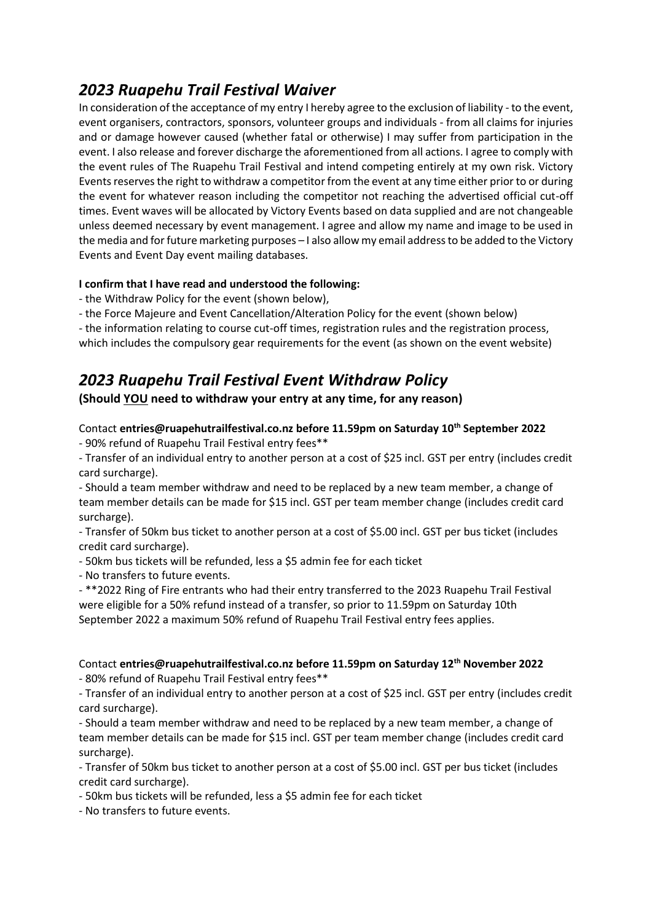## *2023 Ruapehu Trail Festival Waiver*

In consideration of the acceptance of my entry I hereby agree to the exclusion of liability - to the event, event organisers, contractors, sponsors, volunteer groups and individuals - from all claims for injuries and or damage however caused (whether fatal or otherwise) I may suffer from participation in the event. I also release and forever discharge the aforementioned from all actions. I agree to comply with the event rules of The Ruapehu Trail Festival and intend competing entirely at my own risk. Victory Events reserves the right to withdraw a competitor from the event at any time either prior to or during the event for whatever reason including the competitor not reaching the advertised official cut-off times. Event waves will be allocated by Victory Events based on data supplied and are not changeable unless deemed necessary by event management. I agree and allow my name and image to be used in the media and for future marketing purposes – I also allow my email address to be added to the Victory Events and Event Day event mailing databases.

#### **I confirm that I have read and understood the following:**

- the Withdraw Policy for the event (shown below),

- the Force Majeure and Event Cancellation/Alteration Policy for the event (shown below)

- the information relating to course cut-off times, registration rules and the registration process, which includes the compulsory gear requirements for the event (as shown on the event website)

## *2023 Ruapehu Trail Festival Event Withdraw Policy*

**(Should YOU need to withdraw your entry at any time, for any reason)**

### Contact **entries@ruapehutrailfestival.co.nz before 11.59pm on Saturday 10th September 2022**

- 90% refund of Ruapehu Trail Festival entry fees\*\*

- Transfer of an individual entry to another person at a cost of \$25 incl. GST per entry (includes credit card surcharge).

- Should a team member withdraw and need to be replaced by a new team member, a change of team member details can be made for \$15 incl. GST per team member change (includes credit card surcharge).

- Transfer of 50km bus ticket to another person at a cost of \$5.00 incl. GST per bus ticket (includes credit card surcharge).

- 50km bus tickets will be refunded, less a \$5 admin fee for each ticket

- No transfers to future events.

- \*\*2022 Ring of Fire entrants who had their entry transferred to the 2023 Ruapehu Trail Festival were eligible for a 50% refund instead of a transfer, so prior to 11.59pm on Saturday 10th September 2022 a maximum 50% refund of Ruapehu Trail Festival entry fees applies.

### Contact **entries@ruapehutrailfestival.co.nz before 11.59pm on Saturday 12 th November 2022**

- 80% refund of Ruapehu Trail Festival entry fees\*\*

- Transfer of an individual entry to another person at a cost of \$25 incl. GST per entry (includes credit card surcharge).

- Should a team member withdraw and need to be replaced by a new team member, a change of team member details can be made for \$15 incl. GST per team member change (includes credit card surcharge).

- Transfer of 50km bus ticket to another person at a cost of \$5.00 incl. GST per bus ticket (includes credit card surcharge).

- 50km bus tickets will be refunded, less a \$5 admin fee for each ticket

- No transfers to future events.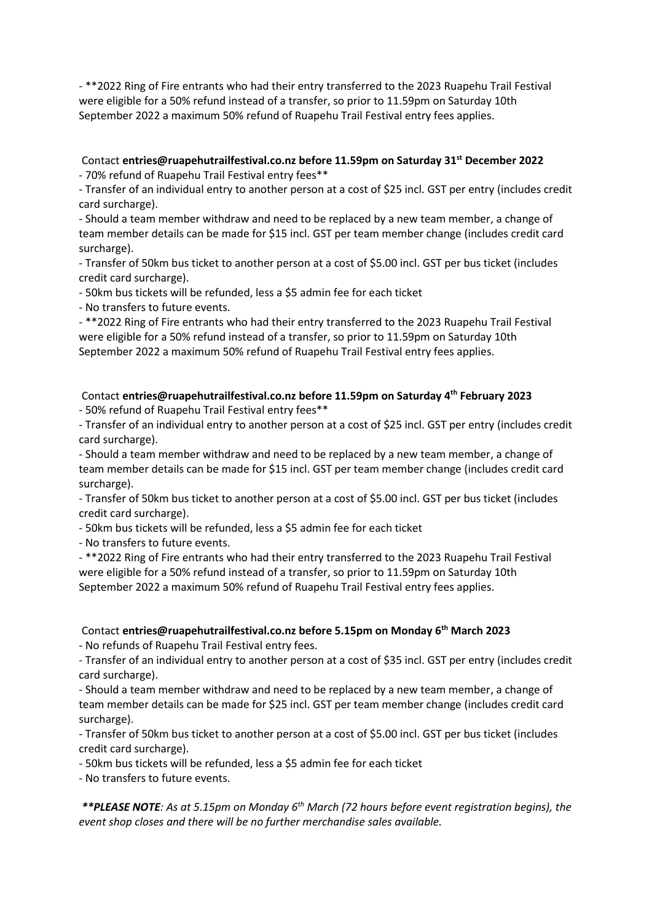- \*\*2022 Ring of Fire entrants who had their entry transferred to the 2023 Ruapehu Trail Festival were eligible for a 50% refund instead of a transfer, so prior to 11.59pm on Saturday 10th September 2022 a maximum 50% refund of Ruapehu Trail Festival entry fees applies.

### Contact **entries@ruapehutrailfestival.co.nz before 11.59pm on Saturday 31st December 2022**

- 70% refund of Ruapehu Trail Festival entry fees\*\*

- Transfer of an individual entry to another person at a cost of \$25 incl. GST per entry (includes credit card surcharge).

- Should a team member withdraw and need to be replaced by a new team member, a change of team member details can be made for \$15 incl. GST per team member change (includes credit card surcharge).

- Transfer of 50km bus ticket to another person at a cost of \$5.00 incl. GST per bus ticket (includes credit card surcharge).

- 50km bus tickets will be refunded, less a \$5 admin fee for each ticket

- No transfers to future events.

- \*\*2022 Ring of Fire entrants who had their entry transferred to the 2023 Ruapehu Trail Festival were eligible for a 50% refund instead of a transfer, so prior to 11.59pm on Saturday 10th September 2022 a maximum 50% refund of Ruapehu Trail Festival entry fees applies.

Contact **entries@ruapehutrailfestival.co.nz before 11.59pm on Saturday 4 th February 2023**

- 50% refund of Ruapehu Trail Festival entry fees\*\*

- Transfer of an individual entry to another person at a cost of \$25 incl. GST per entry (includes credit card surcharge).

- Should a team member withdraw and need to be replaced by a new team member, a change of team member details can be made for \$15 incl. GST per team member change (includes credit card surcharge).

- Transfer of 50km bus ticket to another person at a cost of \$5.00 incl. GST per bus ticket (includes credit card surcharge).

- 50km bus tickets will be refunded, less a \$5 admin fee for each ticket

- No transfers to future events.

- \*\*2022 Ring of Fire entrants who had their entry transferred to the 2023 Ruapehu Trail Festival were eligible for a 50% refund instead of a transfer, so prior to 11.59pm on Saturday 10th September 2022 a maximum 50% refund of Ruapehu Trail Festival entry fees applies.

Contact **entries@ruapehutrailfestival.co.nz before 5.15pm on Monday 6 th March 2023**

- No refunds of Ruapehu Trail Festival entry fees.

- Transfer of an individual entry to another person at a cost of \$35 incl. GST per entry (includes credit card surcharge).

- Should a team member withdraw and need to be replaced by a new team member, a change of team member details can be made for \$25 incl. GST per team member change (includes credit card surcharge).

- Transfer of 50km bus ticket to another person at a cost of \$5.00 incl. GST per bus ticket (includes credit card surcharge).

- 50km bus tickets will be refunded, less a \$5 admin fee for each ticket

- No transfers to future events.

*\*\*PLEASE NOTE: As at 5.15pm on Monday 6th March (72 hours before event registration begins), the event shop closes and there will be no further merchandise sales available.*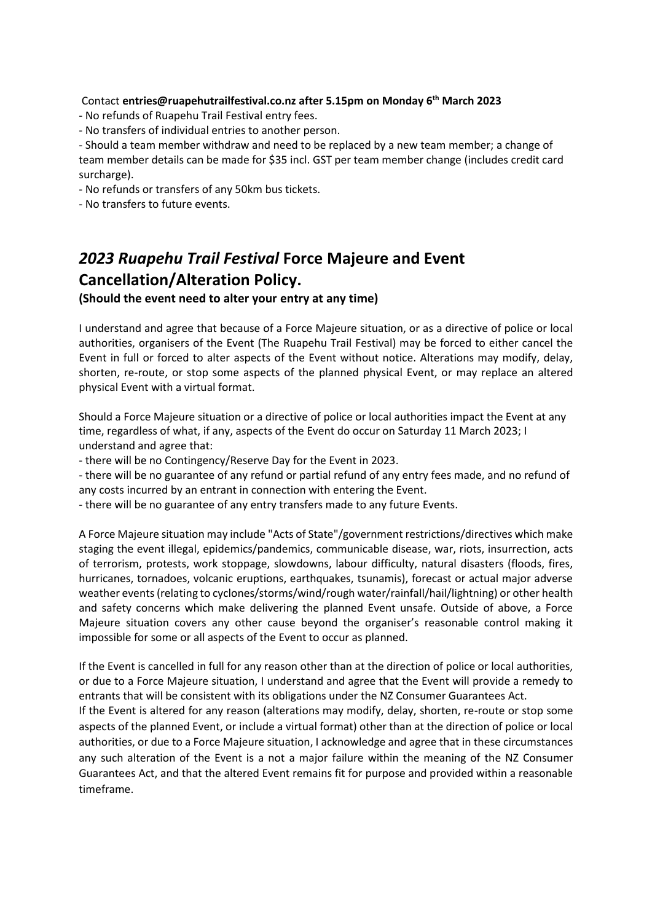Contact **entries@ruapehutrailfestival.co.nz after 5.15pm on Monday 6 th March 2023**

- No refunds of Ruapehu Trail Festival entry fees.
- No transfers of individual entries to another person.

- Should a team member withdraw and need to be replaced by a new team member; a change of team member details can be made for \$35 incl. GST per team member change (includes credit card surcharge).

- No refunds or transfers of any 50km bus tickets.

- No transfers to future events.

# *2023 Ruapehu Trail Festival* **Force Majeure and Event Cancellation/Alteration Policy.**

**(Should the event need to alter your entry at any time)**

I understand and agree that because of a Force Majeure situation, or as a directive of police or local authorities, organisers of the Event (The Ruapehu Trail Festival) may be forced to either cancel the Event in full or forced to alter aspects of the Event without notice. Alterations may modify, delay, shorten, re-route, or stop some aspects of the planned physical Event, or may replace an altered physical Event with a virtual format.

Should a Force Majeure situation or a directive of police or local authorities impact the Event at any time, regardless of what, if any, aspects of the Event do occur on Saturday 11 March 2023; I understand and agree that:

- there will be no Contingency/Reserve Day for the Event in 2023.

- there will be no guarantee of any refund or partial refund of any entry fees made, and no refund of any costs incurred by an entrant in connection with entering the Event.

- there will be no guarantee of any entry transfers made to any future Events.

A Force Majeure situation may include "Acts of State"/government restrictions/directives which make staging the event illegal, epidemics/pandemics, communicable disease, war, riots, insurrection, acts of terrorism, protests, work stoppage, slowdowns, labour difficulty, natural disasters (floods, fires, hurricanes, tornadoes, volcanic eruptions, earthquakes, tsunamis), forecast or actual major adverse weather events (relating to cyclones/storms/wind/rough water/rainfall/hail/lightning) or other health and safety concerns which make delivering the planned Event unsafe. Outside of above, a Force Majeure situation covers any other cause beyond the organiser's reasonable control making it impossible for some or all aspects of the Event to occur as planned.

If the Event is cancelled in full for any reason other than at the direction of police or local authorities, or due to a Force Majeure situation, I understand and agree that the Event will provide a remedy to entrants that will be consistent with its obligations under the NZ Consumer Guarantees Act.

If the Event is altered for any reason (alterations may modify, delay, shorten, re-route or stop some aspects of the planned Event, or include a virtual format) other than at the direction of police or local authorities, or due to a Force Majeure situation, I acknowledge and agree that in these circumstances any such alteration of the Event is a not a major failure within the meaning of the NZ Consumer Guarantees Act, and that the altered Event remains fit for purpose and provided within a reasonable timeframe.